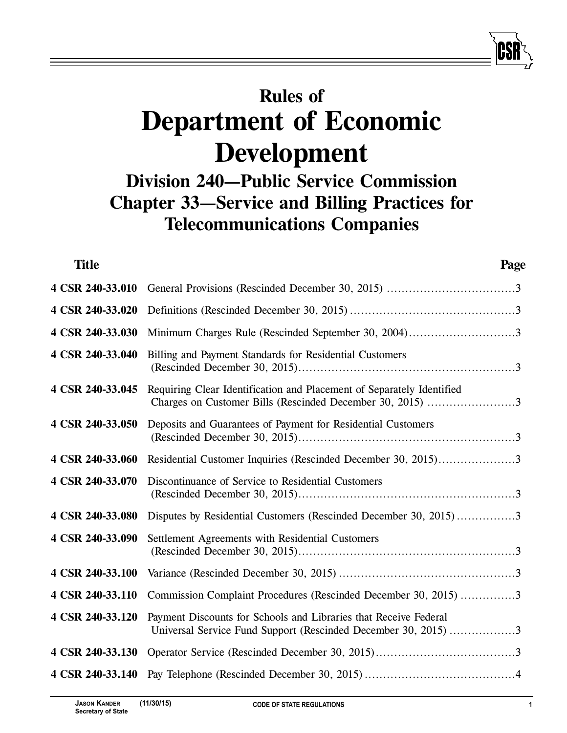# **Rules of Department of Economic Development**

## **Division 240—Public Service Commission Chapter 33—Service and Billing Practices for Telecommunications Companies**

| <b>Title</b>     | Page                                                                                                                               |
|------------------|------------------------------------------------------------------------------------------------------------------------------------|
| 4 CSR 240-33.010 |                                                                                                                                    |
| 4 CSR 240-33.020 |                                                                                                                                    |
| 4 CSR 240-33.030 | Minimum Charges Rule (Rescinded September 30, 2004)3                                                                               |
| 4 CSR 240-33.040 | Billing and Payment Standards for Residential Customers                                                                            |
| 4 CSR 240-33.045 | Requiring Clear Identification and Placement of Separately Identified<br>Charges on Customer Bills (Rescinded December 30, 2015) 3 |
| 4 CSR 240-33.050 | Deposits and Guarantees of Payment for Residential Customers                                                                       |
| 4 CSR 240-33.060 | Residential Customer Inquiries (Rescinded December 30, 2015)3                                                                      |
| 4 CSR 240-33.070 | Discontinuance of Service to Residential Customers                                                                                 |
| 4 CSR 240-33.080 | Disputes by Residential Customers (Rescinded December 30, 2015)3                                                                   |
| 4 CSR 240-33.090 | Settlement Agreements with Residential Customers                                                                                   |
| 4 CSR 240-33.100 |                                                                                                                                    |
| 4 CSR 240-33.110 | Commission Complaint Procedures (Rescinded December 30, 2015) 3                                                                    |
| 4 CSR 240-33.120 | Payment Discounts for Schools and Libraries that Receive Federal<br>Universal Service Fund Support (Rescinded December 30, 2015) 3 |
| 4 CSR 240-33.130 |                                                                                                                                    |
| 4 CSR 240-33.140 |                                                                                                                                    |
|                  |                                                                                                                                    |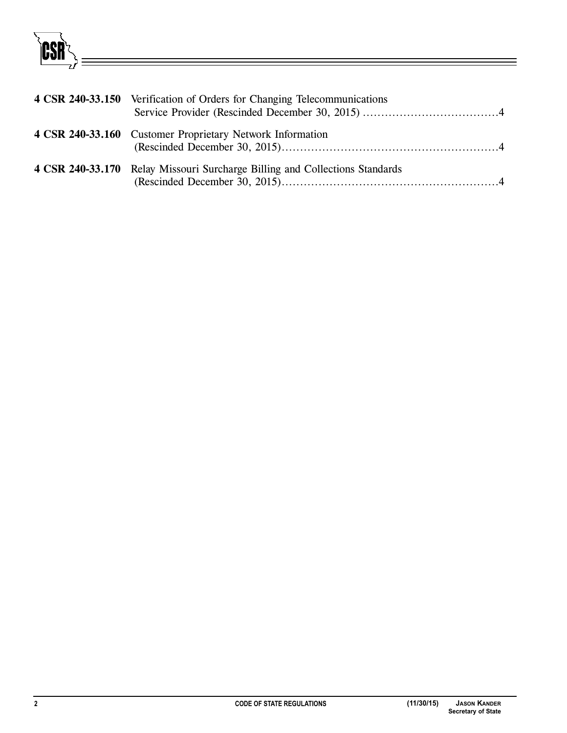**CSR** 

| 4 CSR 240-33.150 Verification of Orders for Changing Telecommunications     |
|-----------------------------------------------------------------------------|
| 4 CSR 240-33.160 Customer Proprietary Network Information                   |
| 4 CSR 240-33.170 Relay Missouri Surcharge Billing and Collections Standards |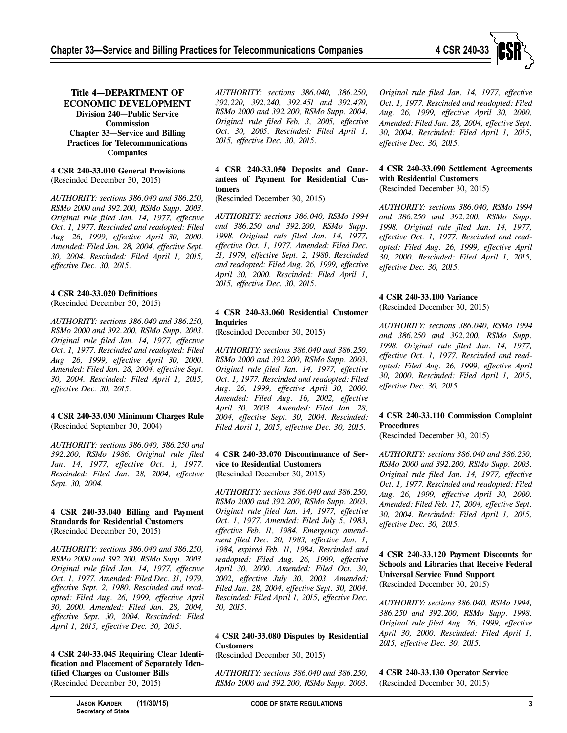

**Title 4—DEPARTMENT OF ECONOMIC DEVELOPMENT Division 240—Public Service Commission Chapter 33—Service and Billing Practices for Telecommunications Companies**

#### **4 CSR 240-33.010 General Provisions** (Rescinded December 30, 2015)

*AUTHORITY: sections 386.040 and 386.250, RSMo 2000 and 392.200, RSMo Supp. 2003. Original rule filed Jan. 14, 1977, effective Oct. 1, 1977. Rescinded and readopted: Filed Aug. 26, 1999, effective April 30, 2000. Amended: Filed Jan. 28, 2004, effective Sept. 30, 2004. Rescinded: Filed April 1, 2015, effective Dec. 30, 2015.*

## **4 CSR 240-33.020 Definitions**

(Rescinded December 30, 2015)

*AUTHORITY: sections 386.040 and 386.250, RSMo 2000 and 392.200, RSMo Supp. 2003. Original rule filed Jan. 14, 1977, effective Oct. 1, 1977. Rescinded and readopted: Filed Aug. 26, 1999, effective April 30, 2000. Amended: Filed Jan. 28, 2004, effective Sept. 30, 2004. Rescinded: Filed April 1, 2015, effective Dec. 30, 2015.*

## **4 CSR 240-33.030 Minimum Charges Rule** (Rescinded September 30, 2004)

*AUTHORITY: sections 386.040, 386.250 and 392.200, RSMo 1986. Original rule filed Jan. 14, 1977, effective Oct. 1, 1977. Rescinded: Filed Jan. 28, 2004, effective Sept. 30, 2004.*

#### **4 CSR 240-33.040 Billing and Payment Standards for Residential Customers** (Rescinded December 30, 2015)

*AUTHORITY: sections 386.040 and 386.250, RSMo 2000 and 392.200, RSMo Supp. 2003. Original rule filed Jan. 14, 1977, effective Oct. 1, 1977. Amended: Filed Dec. 31, 1979, effective Sept. 2, 1980. Rescinded and readopted: Filed Aug. 26, 1999, effective April 30, 2000. Amended: Filed Jan. 28, 2004, effective Sept. 30, 2004. Rescinded: Filed April 1, 2015, effective Dec. 30, 2015.*

**4 CSR 240-33.045 Requiring Clear Identification and Placement of Separately Identified Charges on Customer Bills** (Rescinded December 30, 2015)

*AUTHORITY: sections 386.040, 386.250, 392.220, 392.240, 392.451 and 392.470, RSMo 2000 and 392.200, RSMo Supp. 2004. Original rule filed Feb. 3, 2005, effective Oct. 30, 2005. Rescinded: Filed April 1, 2015, effective Dec. 30, 2015.*

**4 CSR 240-33.050 Deposits and Guarantees of Payment for Residential Customers**

(Rescinded December 30, 2015)

*AUTHORITY: sections 386.040, RSMo 1994 and 386.250 and 392.200, RSMo Supp. 1998. Original rule filed Jan. 14, 1977, effective Oct. 1, 1977. Amended: Filed Dec. 31, 1979, effective Sept. 2, 1980. Rescinded and readopted: Filed Aug. 26, 1999, effective April 30, 2000. Rescinded: Filed April 1, 2015, effective Dec. 30, 2015.*

## **4 CSR 240-33.060 Residential Customer Inquiries**

(Rescinded December 30, 2015)

*AUTHORITY: sections 386.040 and 386.250, RSMo 2000 and 392.200, RSMo Supp. 2003. Original rule filed Jan. 14, 1977, effective Oct. 1, 1977. Rescinded and readopted: Filed Aug. 26, 1999, effective April 30, 2000. Amended: Filed Aug. 16, 2002, effective April 30, 2003. Amended: Filed Jan. 28, 2004, effective Sept. 30, 2004. Rescinded: Filed April 1, 2015, effective Dec. 30, 2015.*

## **4 CSR 240-33.070 Discontinuance of Service to Residential Customers** (Rescinded December 30, 2015)

*AUTHORITY: sections 386.040 and 386.250, RSMo 2000 and 392.200, RSMo Supp. 2003. Original rule filed Jan. 14, 1977, effective Oct. 1, 1977. Amended: Filed July 5, 1983, effective Feb. 11, 1984. Emergency amendment filed Dec. 20, 1983, effective Jan. 1, 1984, expired Feb. 11, 1984. Rescinded and readopted: Filed Aug. 26, 1999, effective April 30, 2000. Amended: Filed Oct. 30, 2002, effective July 30, 2003. Amended: Filed Jan. 28, 2004, effective Sept. 30, 2004. Rescinded: Filed April 1, 2015, effective Dec. 30, 2015.*

## **4 CSR 240-33.080 Disputes by Residential Customers**

(Rescinded December 30, 2015)

*AUTHORITY: sections 386.040 and 386.250, RSMo 2000 and 392.200, RSMo Supp. 2003.*

*Original rule filed Jan. 14, 1977, effective Oct. 1, 1977. Rescinded and readopted: Filed Aug. 26, 1999, effective April 30, 2000. Amended: Filed Jan. 28, 2004, effective Sept. 30, 2004. Rescinded: Filed April 1, 2015, effective Dec. 30, 2015.*

## **4 CSR 240-33.090 Settlement Agreements with Residential Customers**

(Rescinded December 30, 2015)

*AUTHORITY: sections 386.040, RSMo 1994 and 386.250 and 392.200, RSMo Supp. 1998. Original rule filed Jan. 14, 1977, effective Oct. 1, 1977. Rescinded and readopted: Filed Aug. 26, 1999, effective April 30, 2000. Rescinded: Filed April 1, 2015, effective Dec. 30, 2015.*

## **4 CSR 240-33.100 Variance**

(Rescinded December 30, 2015)

*AUTHORITY: sections 386.040, RSMo 1994 and 386.250 and 392.200, RSMo Supp. 1998. Original rule filed Jan. 14, 1977, effective Oct. 1, 1977. Rescinded and readopted: Filed Aug. 26, 1999, effective April 30, 2000. Rescinded: Filed April 1, 2015, effective Dec. 30, 2015.*

## **4 CSR 240-33.110 Commission Complaint Procedures**

(Rescinded December 30, 2015)

*AUTHORITY: sections 386.040 and 386.250, RSMo 2000 and 392.200, RSMo Supp. 2003. Original rule filed Jan. 14, 1977, effective Oct. 1, 1977. Rescinded and readopted: Filed Aug. 26, 1999, effective April 30, 2000. Amended: Filed Feb. 17, 2004, effective Sept. 30, 2004. Rescinded: Filed April 1, 2015, effective Dec. 30, 2015.*

## **4 CSR 240-33.120 Payment Discounts for Schools and Libraries that Receive Federal Universal Service Fund Support** (Rescinded December 30, 2015)

*AUTHORITY: sections 386.040, RSMo 1994, 386.250 and 392.200, RSMo Supp. 1998. Original rule filed Aug. 26, 1999, effective April 30, 2000. Rescinded: Filed April 1, 2015, effective Dec. 30, 2015.*

## **4 CSR 240-33.130 Operator Service** (Rescinded December 30, 2015)